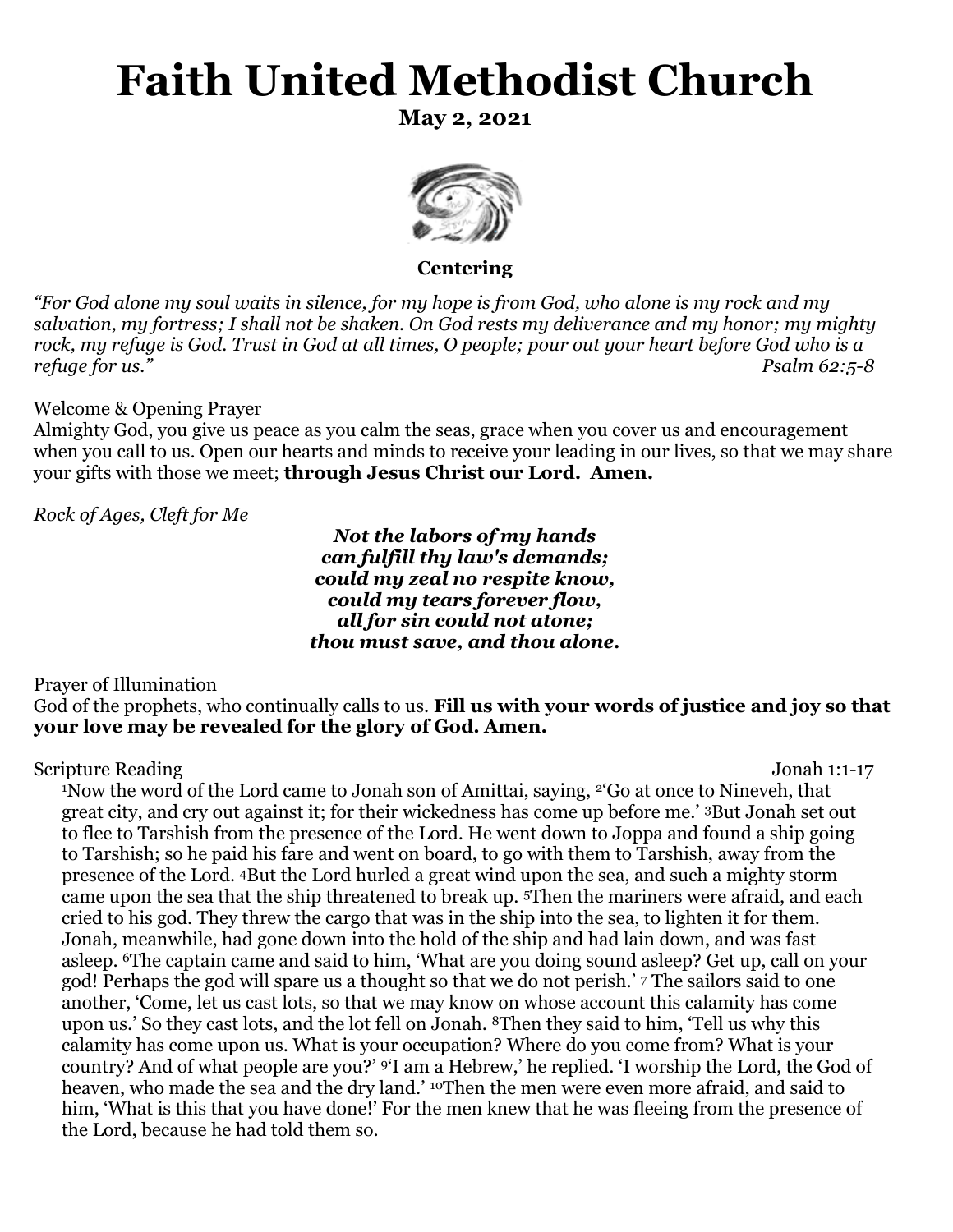# **Faith United Methodist Church**

**May 2, 2021**



**Centering**

*"For God alone my soul waits in silence, for my hope is from God, who alone is my rock and my salvation, my fortress; I shall not be shaken. On God rests my deliverance and my honor; my mighty rock, my refuge is God. Trust in God at all times, O people; pour out your heart before God who is a refuge for us." Psalm 62:5-8* 

#### Welcome & Opening Prayer

Almighty God, you give us peace as you calm the seas, grace when you cover us and encouragement when you call to us. Open our hearts and minds to receive your leading in our lives, so that we may share your gifts with those we meet; **through Jesus Christ our Lord. Amen.** 

*Rock of Ages, Cleft for Me*

*Not the labors of my hands can fulfill thy law's demands; could my zeal no respite know, could my tears forever flow, all for sin could not atone; thou must save, and thou alone.*

Prayer of Illumination

God of the prophets, who continually calls to us. **Fill us with your words of justice and joy so that your love may be revealed for the glory of God. Amen.**

Scripture Reading Jonah 1:1-17

<sup>1</sup>Now the word of the Lord came to Jonah son of Amittai, saying, <sup>2</sup><sup>'</sup>Go at once to Nineveh, that great city, and cry out against it; for their wickedness has come up before me.' <sup>3</sup>But Jonah set out to flee to Tarshish from the presence of the Lord. He went down to Joppa and found a ship going to Tarshish; so he paid his fare and went on board, to go with them to Tarshish, away from the presence of the Lord. 4But the Lord hurled a great wind upon the sea, and such a mighty storm came upon the sea that the ship threatened to break up. <sup>5</sup>Then the mariners were afraid, and each cried to his god. They threw the cargo that was in the ship into the sea, to lighten it for them. Jonah, meanwhile, had gone down into the hold of the ship and had lain down, and was fast asleep. <sup>6</sup>The captain came and said to him, 'What are you doing sound asleep? Get up, call on your god! Perhaps the god will spare us a thought so that we do not perish.' <sup>7</sup> The sailors said to one another, 'Come, let us cast lots, so that we may know on whose account this calamity has come upon us.' So they cast lots, and the lot fell on Jonah. 8Then they said to him, 'Tell us why this calamity has come upon us. What is your occupation? Where do you come from? What is your country? And of what people are you?' <sup>9</sup>'I am a Hebrew,' he replied. 'I worship the Lord, the God of heaven, who made the sea and the dry land.' <sup>10</sup>Then the men were even more afraid, and said to him, 'What is this that you have done!' For the men knew that he was fleeing from the presence of the Lord, because he had told them so.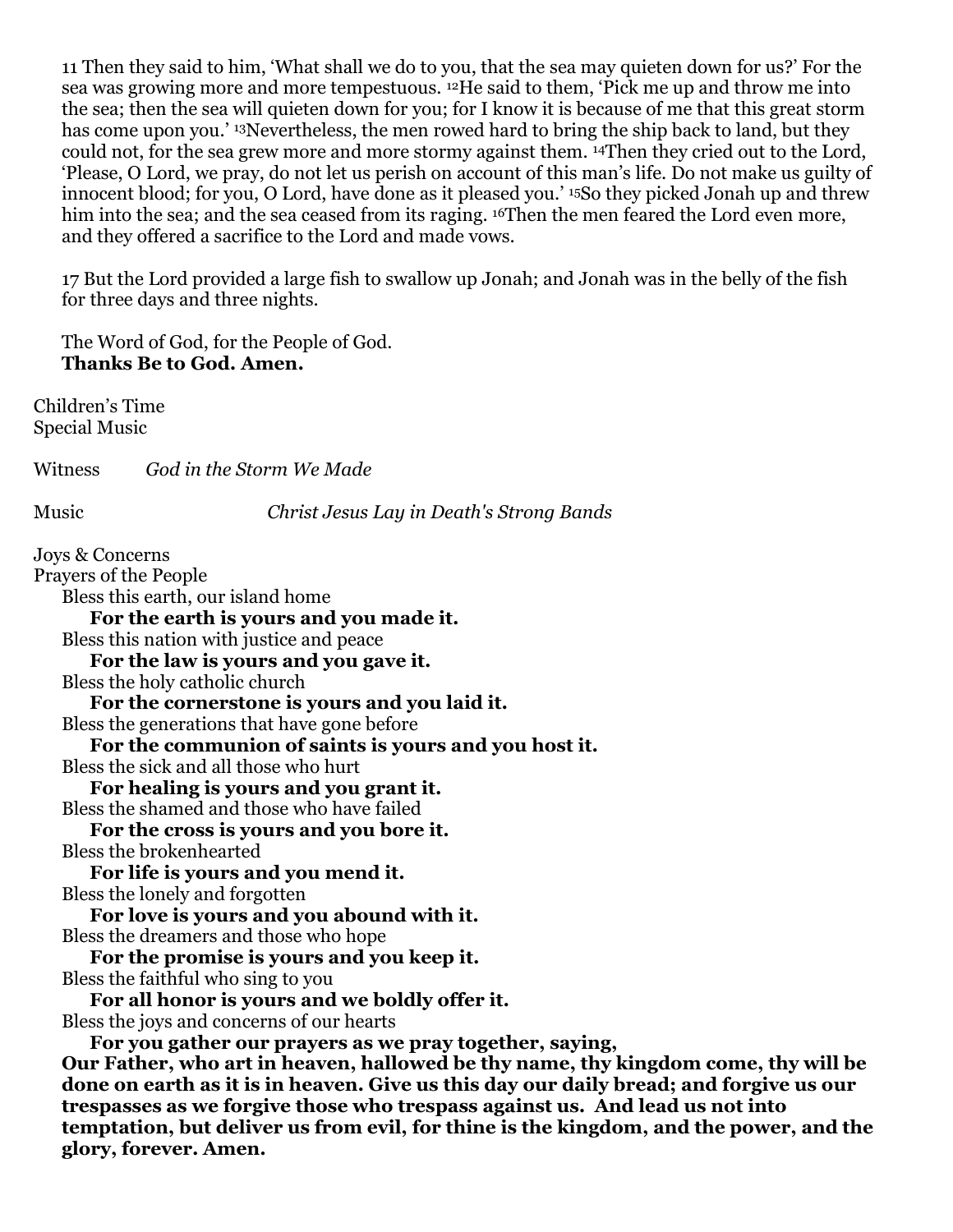11 Then they said to him, 'What shall we do to you, that the sea may quieten down for us?' For the sea was growing more and more tempestuous. <sup>12</sup>He said to them, 'Pick me up and throw me into the sea; then the sea will quieten down for you; for I know it is because of me that this great storm has come upon you.' <sup>13</sup>Nevertheless, the men rowed hard to bring the ship back to land, but they could not, for the sea grew more and more stormy against them. <sup>14</sup>Then they cried out to the Lord, 'Please, O Lord, we pray, do not let us perish on account of this man's life. Do not make us guilty of innocent blood; for you, O Lord, have done as it pleased you.' <sup>15</sup>So they picked Jonah up and threw him into the sea; and the sea ceased from its raging. <sup>16</sup>Then the men feared the Lord even more, and they offered a sacrifice to the Lord and made vows.

17 But the Lord provided a large fish to swallow up Jonah; and Jonah was in the belly of the fish for three days and three nights.

The Word of God, for the People of God. **Thanks Be to God. Amen.**

Children's Time Special Music

Witness *God in the Storm We Made*

Music *Christ Jesus Lay in Death's Strong Bands*

Joys & Concerns Prayers of the People Bless this earth, our island home **For the earth is yours and you made it.** Bless this nation with justice and peace **For the law is yours and you gave it.** Bless the holy catholic church **For the cornerstone is yours and you laid it.** Bless the generations that have gone before **For the communion of saints is yours and you host it.** Bless the sick and all those who hurt **For healing is yours and you grant it.** Bless the shamed and those who have failed **For the cross is yours and you bore it.** Bless the brokenhearted **For life is yours and you mend it.** Bless the lonely and forgotten **For love is yours and you abound with it.** Bless the dreamers and those who hope **For the promise is yours and you keep it.** Bless the faithful who sing to you **For all honor is yours and we boldly offer it.** Bless the joys and concerns of our hearts **For you gather our prayers as we pray together, saying, Our Father, who art in heaven, hallowed be thy name, thy kingdom come, thy will be done on earth as it is in heaven. Give us this day our daily bread; and forgive us our trespasses as we forgive those who trespass against us. And lead us not into temptation, but deliver us from evil, for thine is the kingdom, and the power, and the glory, forever. Amen.**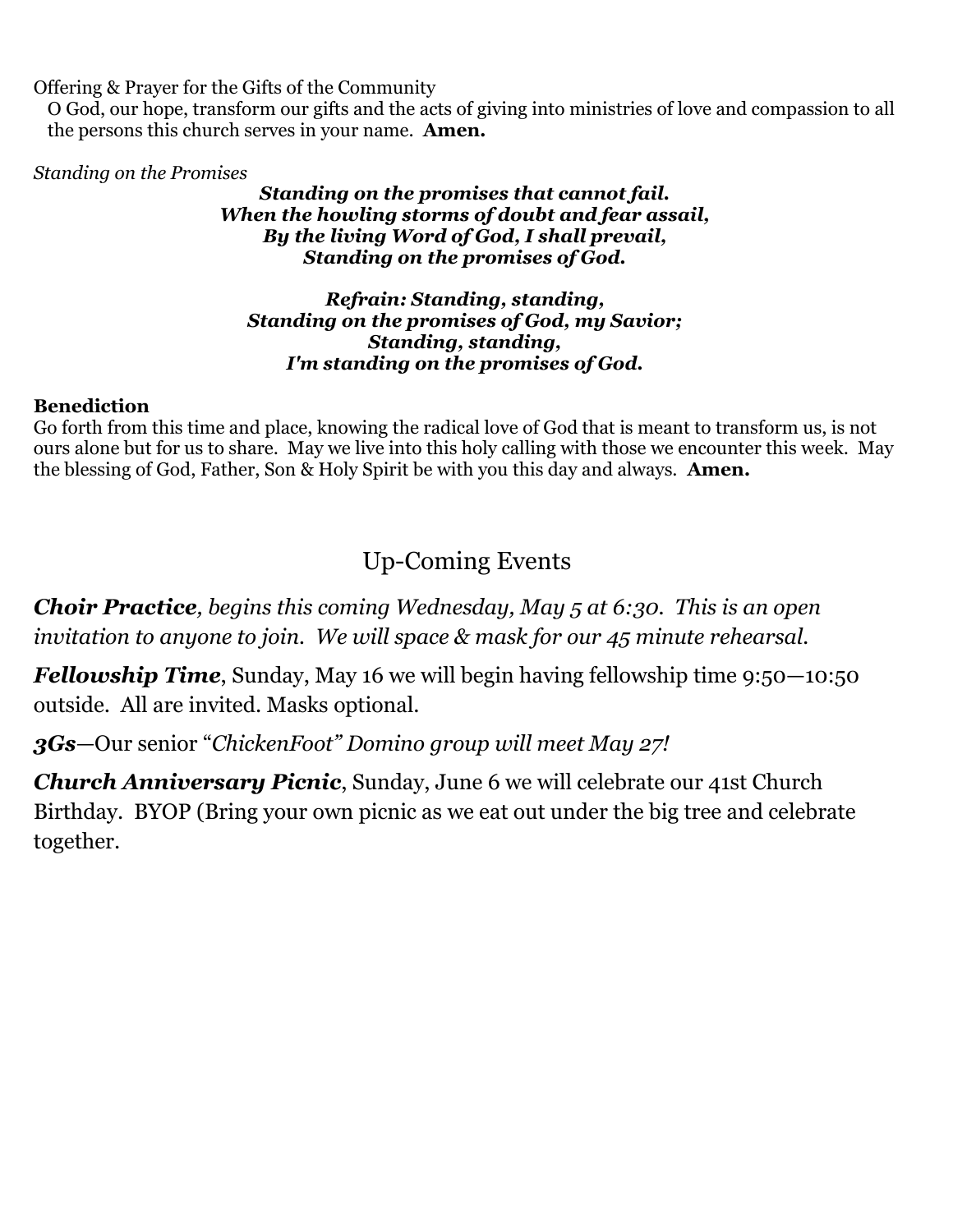Offering & Prayer for the Gifts of the Community

O God, our hope, transform our gifts and the acts of giving into ministries of love and compassion to all the persons this church serves in your name. **Amen.**

*Standing on the Promises*

#### *Standing on the promises that cannot fail. When the howling storms of doubt and fear assail, By the living Word of God, I shall prevail, Standing on the promises of God.*

#### *Refrain: Standing, standing, Standing on the promises of God, my Savior; Standing, standing, I'm standing on the promises of God.*

### **Benediction**

Go forth from this time and place, knowing the radical love of God that is meant to transform us, is not ours alone but for us to share. May we live into this holy calling with those we encounter this week. May the blessing of God, Father, Son & Holy Spirit be with you this day and always. **Amen.** 

## Up-Coming Events

*Choir Practice, begins this coming Wednesday, May 5 at 6:30. This is an open invitation to anyone to join. We will space & mask for our 45 minute rehearsal.*

*Fellowship Time, Sunday, May 16 we will begin having fellowship time 9:50–10:50* outside. All are invited. Masks optional.

*3Gs*—Our senior "*ChickenFoot" Domino group will meet May 27!* 

*Church Anniversary Picnic*, Sunday, June 6 we will celebrate our 41st Church Birthday. BYOP (Bring your own picnic as we eat out under the big tree and celebrate together.